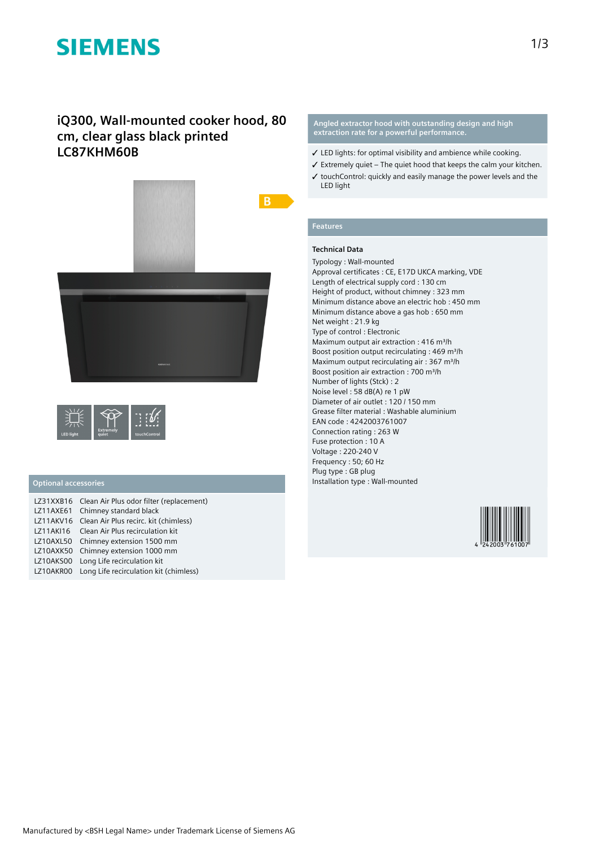# **SIEMENS**

## **iQ300, Wall-mounted cooker hood, 80 cm, clear glass black printed LC87KHM60B**



|           |                           | <b>State Service</b> |
|-----------|---------------------------|----------------------|
| LED light | <b>Extremely</b><br>auiet | touchControl         |

### **Optional accessories**

|                  | LZ31XXB16 Clean Air Plus odor filter (replacement) |
|------------------|----------------------------------------------------|
| LZ11AXE61        | Chimney standard black                             |
|                  | LZ11AKV16 Clean Air Plus recirc. kit (chimless)    |
| LZ11AKI16        | Clean Air Plus recirculation kit                   |
| LZ10AXL50        | Chimney extension 1500 mm                          |
| <b>LZ10AXK50</b> | Chimney extension 1000 mm                          |
| LZ10AKS00        | Long Life recirculation kit                        |
|                  | LZ10AKR00 Long Life recirculation kit (chimless)   |

#### **Angled extractor hood with outstanding design and high extraction rate for a powerful performance.**

- ✓ LED lights: for optimal visibility and ambience while cooking.
- $\checkmark$  Extremely quiet The quiet hood that keeps the calm your kitchen.
- ✓ touchControl: quickly and easily manage the power levels and the LED light

### **Features**

### **Technical Data**

Typology : Wall-mounted Approval certificates : CE, E17D UKCA marking, VDE Length of electrical supply cord : 130 cm Height of product, without chimney : 323 mm Minimum distance above an electric hob : 450 mm Minimum distance above a gas hob : 650 mm Net weight : 21.9 kg Type of control : Electronic Maximum output air extraction : 416 m<sup>3</sup>/h Boost position output recirculating : 469 m<sup>3</sup>/h Maximum output recirculating air : 367 m<sup>3</sup>/h Boost position air extraction : 700 m<sup>3</sup>/h Number of lights (Stck) : 2 Noise level : 58 dB(A) re 1 pW Diameter of air outlet : 120 / 150 mm Grease filter material : Washable aluminium EAN code : 4242003761007 Connection rating : 263 W Fuse protection : 10 A Voltage : 220-240 V Frequency : 50; 60 Hz Plug type : GB plug Installation type : Wall-mounted

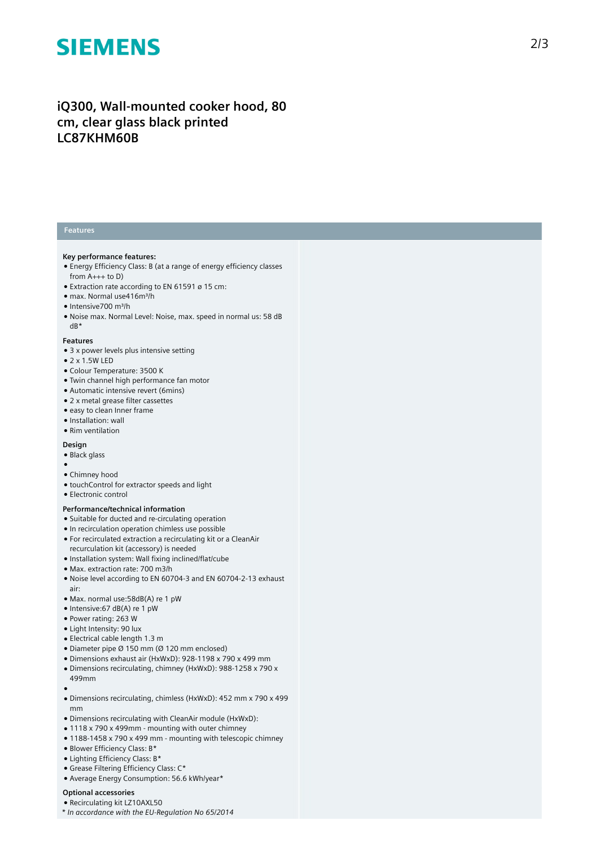# **SIEMENS**

## iQ300, Wall-mounted cooker hood, 80 cm, clear glass black printed **LC87KHM60B**

#### **Features**

#### **Key performance features:**

- Energy Efficiency Class: B (at a range of energy efficiency classes from A+++ to D)
- $\bullet$  Extraction rate according to EN 61591 ø 15 cm:
- max. Normal use416m³/h
- Intensive700 m³/h
- Noise max. Normal Level: Noise, max. speed in normal us: 58 dB dB\*

#### **Features**

- $\bullet$  3 x power levels plus intensive setting
- 2 x 1.5W LED
- Colour Temperature: 3500 K
- Twin channel high performance fan motor
- Automatic intensive revert (6mins)
- 2 x metal grease filter cassettes
- easy to clean Inner frame
- Installation: wall
- Rim ventilation

#### **Design**

- Black glass
- 
- ●<br>● Chimney hood
- touchControl for extractor speeds and light
- Electronic control

#### Performance/technical information

- Suitable for ducted and re-circulating operation
- In recirculation operation chimless use possible
- For recirculated extraction a recirculating kit or a CleanAir recurculation kit (accessory) is needed
- Installation system: Wall fixing inclined/flat/cube
- Max. extraction rate: 700 m3/h
- Noise level according to EN 60704-3 and EN 60704-2-13 exhaust a i r :
- Max. normal use:58dB(A) re 1 pW
- Intensive:67 dB(A) re 1 pW
- Power rating: 263 W
- Light Intensity: 90 lux
- Electrical cable length 1.3 m
- $\bullet$  Diameter pipe Ø 150 mm (Ø 120 mm enclosed)
- Dimensions exhaust air (HxWxD): 928-1198 x 790 x 499 mm
- Dimensions recirculating, chimney (HxWxD): 988-1258 x 790 x 499mm
- ●<br>● Dimensions recirculating, chimless (HxWxD): 452 mm x 790 x 499 mm
- Dimensions recirculating with CleanAir module (HxWxD):
- $\bullet$  1118 x 790 x 499 $\text{mm}$  mounting with outer chimney
- 1188-1458 x 790 x 499 mm mounting with telescopic chimney
- Blower Efficiency Class: B\*
- Lighting Efficiency Class: B\*
- Grease Filtering Efficiency Class: C\*
- Average Energy Consumption: 56.6 kWh/year\*

#### **Optional accessories**

- Recirculating kit LZ10AXL50
- *\* In accordance with the EU-Regulation No 65/2014*